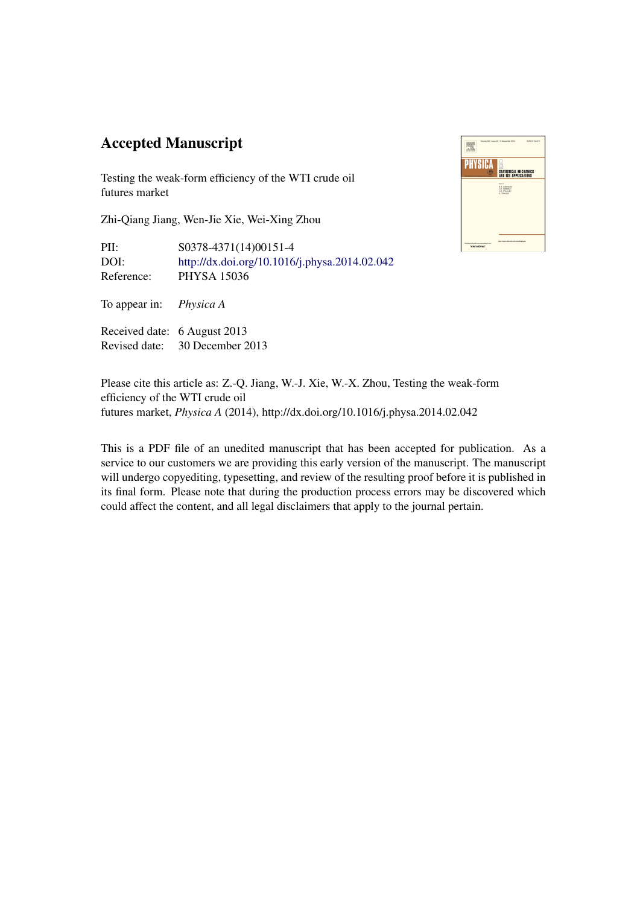## Accepted Manuscript

Testing the weak-form efficiency of the WTI crude oil futures market

Zhi-Qiang Jiang, Wen-Jie Xie, Wei-Xing Zhou

PII: S0378-4371(14)00151-4 DOI: <http://dx.doi.org/10.1016/j.physa.2014.02.042> Reference: PHYSA 15036

To appear in: *Physica A*

Received date: 6 August 2013 Revised date: 30 December 2013



Please cite this article as: Z.-Q. Jiang, W.-J. Xie, W.-X. Zhou, Testing the weak-form efficiency of the WTI crude oil futures market, *Physica A* (2014), http://dx.doi.org/10.1016/j.physa.2014.02.042

This is a PDF file of an unedited manuscript that has been accepted for publication. As a service to our customers we are providing this early version of the manuscript. The manuscript will undergo copyediting, typesetting, and review of the resulting proof before it is published in its final form. Please note that during the production process errors may be discovered which could affect the content, and all legal disclaimers that apply to the journal pertain.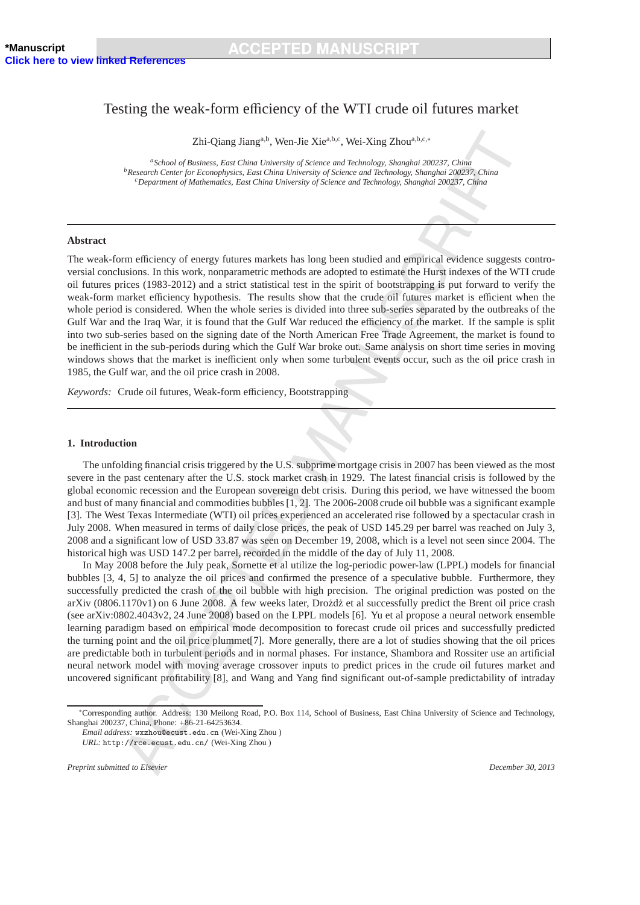### Testing the weak-form efficiency of the WTI crude oil futures market

Zhi-Qiang Jianga,b, Wen-Jie Xiea,b,c, Wei-Xing Zhoua,b,c,<sup>∗</sup>

*<sup>a</sup>School of Business, East China University of Science and Technology, Shanghai 200237, China <sup>b</sup>Research Center for Econophysics, East China University of Science and Technology, Shanghai 200237, China <sup>c</sup>Department of Mathematics, East China University of Science and Technology, Shanghai 200237, China*

#### **Abstract**

The weak-form efficiency of energy futures markets has long been studied and empirical evidence suggests controversial conclusions. In this work, nonparametric methods are adopted to estimate the Hurst indexes of the WTI crude oil futures prices (1983-2012) and a strict statistical test in the spirit of bootstrapping is put forward to verify the weak-form market efficiency hypothesis. The results show that the crude oil futures market is efficient when the whole period is considered. When the whole series is divided into three sub-series separated by the outbreaks of the Gulf War and the Iraq War, it is found that the Gulf War reduced the efficiency of the market. If the sample is split into two sub-series based on the signing date of the North American Free Trade Agreement, the market is found to be inefficient in the sub-periods during which the Gulf War broke out. Same analysis on short time series in moving windows shows that the market is inefficient only when some turbulent events occur, such as the oil price crash in 1985, the Gulf war, and the oil price crash in 2008.

*Keywords:* Crude oil futures, Weak-form efficiency, Bootstrapping

#### **1. Introduction**

The unfolding financial crisis triggered by the U.S. subprime mortgage crisis in 2007 has been viewed as the most severe in the past centenary after the U.S. stock market crash in 1929. The latest financial crisis is followed by the global economic recession and the European sovereign debt crisis. During this period, we have witnessed the boom and bust of many financial and commodities bubbles [1, 2]. The 2006-2008 crude oil bubble was a significant example [3]. The West Texas Intermediate (WTI) oil prices experienced an accelerated rise followed by a spectacular crash in July 2008. When measured in terms of daily close prices, the peak of USD 145.29 per barrel was reached on July 3, 2008 and a significant low of USD 33.87 was seen on December 19, 2008, which is a level not seen since 2004. The historical high was USD 147.2 per barrel, recorded in the middle of the day of July 11, 2008.

In May 2008 before the July peak, Sornette et al utilize the log-periodic power-law (LPPL) models for financial bubbles [3, 4, 5] to analyze the oil prices and confirmed the presence of a speculative bubble. Furthermore, they successfully predicted the crash of the oil bubble with high precision. The original prediction was posted on the arXiv (0806.1170v1) on 6 June 2008. A few weeks later, Drożdż et al successfully predict the Brent oil price crash (see arXiv:0802.4043v2, 24 June 2008) based on the LPPL models [6]. Yu et al propose a neural network ensemble learning paradigm based on empirical mode decomposition to forecast crude oil prices and successfully predicted the turning point and the oil price plummet[7]. More generally, there are a lot of studies showing that the oil prices are predictable both in turbulent periods and in normal phases. For instance, Shambora and Rossiter use an artificial neural network model with moving average crossover inputs to predict prices in the crude oil futures market and uncovered significant profitability [8], and Wang and Yang find significant out-of-sample predictability of intraday

<sup>∗</sup>Corresponding author. Address: 130 Meilong Road, P.O. Box 114, School of Business, East China University of Science and Technology, Shanghai 200237, China, Phone: +86-21-64253634.

*Email address:* wxzhou@ecust.edu.cn (Wei-Xing Zhou ) *URL:* http://rce.ecust.edu.cn/ (Wei-Xing Zhou )